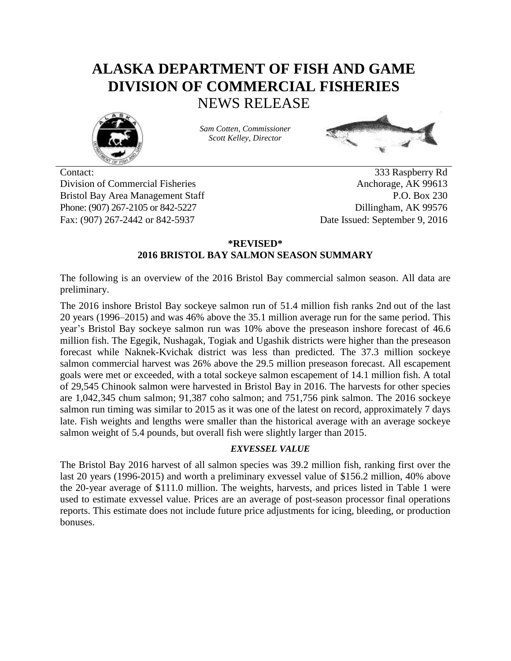# **ALASKA DEPARTMENT OF FISH AND GAME DIVISION OF COMMERCIAL FISHERIES** NEWS RELEASE



*Sam Cotten, Commissioner Scott Kelley, Director*



Contact: 333 Raspberry Rd Division of Commercial Fisheries Anchorage, AK 99613 Bristol Bay Area Management Staff P.O. Box 230 Phone: (907) 267-2105 or 842-5227 Dillingham, AK 99576 Fax: (907) 267-2442 or 842-5937 Date Issued: September 9, 2016

# **\*REVISED\* 2016 BRISTOL BAY SALMON SEASON SUMMARY**

The following is an overview of the 2016 Bristol Bay commercial salmon season. All data are preliminary.

The 2016 inshore Bristol Bay sockeye salmon run of 51.4 million fish ranks 2nd out of the last 20 years (1996–2015) and was 46% above the 35.1 million average run for the same period. This year's Bristol Bay sockeye salmon run was 10% above the preseason inshore forecast of 46.6 million fish. The Egegik, Nushagak, Togiak and Ugashik districts were higher than the preseason forecast while Naknek-Kvichak district was less than predicted. The 37.3 million sockeye salmon commercial harvest was 26% above the 29.5 million preseason forecast. All escapement goals were met or exceeded, with a total sockeye salmon escapement of 14.1 million fish. A total of 29,545 Chinook salmon were harvested in Bristol Bay in 2016. The harvests for other species are 1,042,345 chum salmon; 91,387 coho salmon; and 751,756 pink salmon. The 2016 sockeye salmon run timing was similar to 2015 as it was one of the latest on record, approximately 7 days late. Fish weights and lengths were smaller than the historical average with an average sockeye salmon weight of 5.4 pounds, but overall fish were slightly larger than 2015.

### *EXVESSEL VALUE*

The Bristol Bay 2016 harvest of all salmon species was 39.2 million fish, ranking first over the last 20 years (1996-2015) and worth a preliminary exvessel value of \$156.2 million, 40% above the 20-year average of \$111.0 million. The weights, harvests, and prices listed in Table 1 were used to estimate exvessel value. Prices are an average of post-season processor final operations reports. This estimate does not include future price adjustments for icing, bleeding, or production bonuses.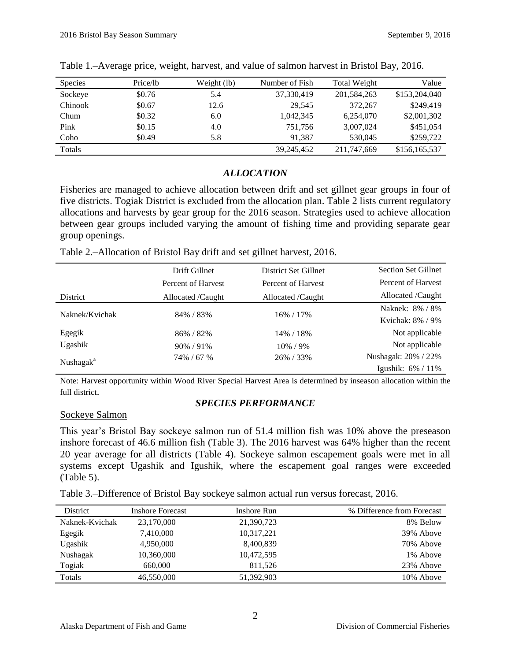| <b>Species</b> | Price/lb | Weight (lb) | Number of Fish | Total Weight | Value         |
|----------------|----------|-------------|----------------|--------------|---------------|
| Sockeye        | \$0.76   | 5.4         | 37,330,419     | 201,584,263  | \$153,204,040 |
| Chinook        | \$0.67   | 12.6        | 29.545         | 372,267      | \$249.419     |
| Chum           | \$0.32   | 6.0         | 1.042.345      | 6.254,070    | \$2,001,302   |
| Pink           | \$0.15   | 4.0         | 751.756        | 3,007,024    | \$451,054     |
| Coho           | \$0.49   | 5.8         | 91.387         | 530.045      | \$259,722     |
| Totals         |          |             | 39.245.452     | 211,747,669  | \$156,165,537 |

Table 1.–Average price, weight, harvest, and value of salmon harvest in Bristol Bay, 2016.

## *ALLOCATION*

Fisheries are managed to achieve allocation between drift and set gillnet gear groups in four of five districts. Togiak District is excluded from the allocation plan. Table 2 lists current regulatory allocations and harvests by gear group for the 2016 season. Strategies used to achieve allocation between gear groups included varying the amount of fishing time and providing separate gear group openings.

Table 2.–Allocation of Bristol Bay drift and set gillnet harvest, 2016.

|                       | Drift Gillnet      | District Set Gillnet | <b>Section Set Gillnet</b> |
|-----------------------|--------------------|----------------------|----------------------------|
|                       | Percent of Harvest | Percent of Harvest   | Percent of Harvest         |
| District              | Allocated /Caught  | Allocated /Caught    | Allocated /Caught          |
| Naknek/Kvichak        | 84% / 83%          | 16% / 17%            | Naknek: 8% / 8%            |
|                       |                    |                      | Kvichak: 8% / 9%           |
| Egegik                | 86% / 82%          | 14% / 18%            | Not applicable             |
| Ugashik               | 90%/91%            | 10% / 9%             | Not applicable             |
| Nushagak <sup>a</sup> | 74% / 67 %         | 26% / 33%            | Nushagak: 20% / 22%        |
|                       |                    |                      | Igushik: $6\% / 11\%$      |

Note: Harvest opportunity within Wood River Special Harvest Area is determined by inseason allocation within the full district.

# *SPECIES PERFORMANCE*

### Sockeye Salmon

This year's Bristol Bay sockeye salmon run of 51.4 million fish was 10% above the preseason inshore forecast of 46.6 million fish (Table 3). The 2016 harvest was 64% higher than the recent 20 year average for all districts (Table 4). Sockeye salmon escapement goals were met in all systems except Ugashik and Igushik, where the escapement goal ranges were exceeded (Table 5).

Table 3.–Difference of Bristol Bay sockeye salmon actual run versus forecast, 2016.

| District       | <b>Inshore Forecast</b> | Inshore Run | % Difference from Forecast |
|----------------|-------------------------|-------------|----------------------------|
| Naknek-Kvichak | 23,170,000              | 21,390,723  | 8% Below                   |
| Egegik         | 7,410,000               | 10,317,221  | 39% Above                  |
| Ugashik        | 4,950,000               | 8,400,839   | 70% Above                  |
| Nushagak       | 10,360,000              | 10,472,595  | 1% Above                   |
| Togiak         | 660,000                 | 811.526     | 23% Above                  |
| Totals         | 46,550,000              | 51,392,903  | 10% Above                  |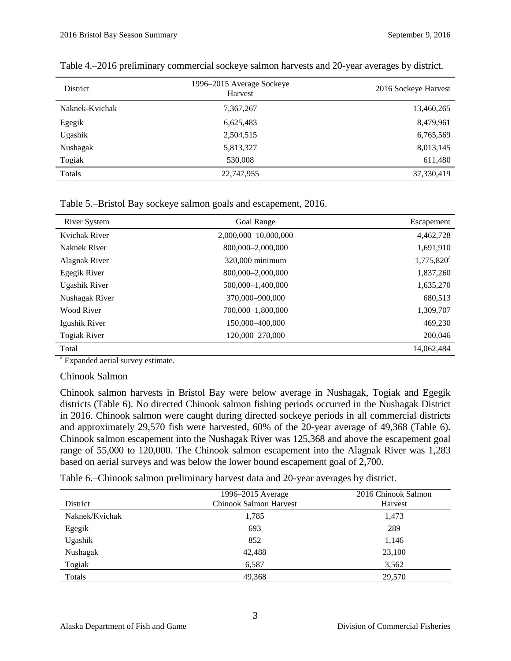| District       | 1996–2015 Average Sockeye<br>Harvest | 2016 Sockeye Harvest |
|----------------|--------------------------------------|----------------------|
| Naknek-Kvichak | 7,367,267                            | 13,460,265           |
| Egegik         | 6,625,483                            | 8,479,961            |
| Ugashik        | 2,504,515                            | 6,765,569            |
| Nushagak       | 5,813,327                            | 8,013,145            |
| Togiak         | 530,008                              | 611,480              |
| Totals         | 22,747,955                           | 37,330,419           |

| Table 4.–2016 preliminary commercial sockeye salmon harvests and 20-year averages by district. |  |  |
|------------------------------------------------------------------------------------------------|--|--|
|                                                                                                |  |  |

|  |  | Table 5.–Bristol Bay sockeye salmon goals and escapement, 2016. |  |
|--|--|-----------------------------------------------------------------|--|
|  |  |                                                                 |  |

| <b>River System</b> | <b>Goal Range</b>    | Escapement    |
|---------------------|----------------------|---------------|
| Kvichak River       | 2,000,000-10,000,000 | 4,462,728     |
| Naknek River        | 800,000-2,000,000    | 1,691,910     |
| Alagnak River       | 320,000 minimum      | $1,775,820^a$ |
| Egegik River        | 800,000-2,000,000    | 1,837,260     |
| Ugashik River       | 500,000-1,400,000    | 1,635,270     |
| Nushagak River      | 370,000–900,000      | 680,513       |
| Wood River          | 700.000-1.800.000    | 1,309,707     |
| Igushik River       | 150,000 - 400,000    | 469,230       |
| <b>Togiak River</b> | 120,000-270,000      | 200,046       |
| Total               |                      | 14,062,484    |

<sup>a</sup> Expanded aerial survey estimate.

### Chinook Salmon

Chinook salmon harvests in Bristol Bay were below average in Nushagak, Togiak and Egegik districts (Table 6). No directed Chinook salmon fishing periods occurred in the Nushagak District in 2016. Chinook salmon were caught during directed sockeye periods in all commercial districts and approximately 29,570 fish were harvested, 60% of the 20-year average of 49,368 (Table 6). Chinook salmon escapement into the Nushagak River was 125,368 and above the escapement goal range of 55,000 to 120,000. The Chinook salmon escapement into the Alagnak River was 1,283 based on aerial surveys and was below the lower bound escapement goal of 2,700.

Table 6.–Chinook salmon preliminary harvest data and 20-year averages by district.

| District       | 1996-2015 Average<br><b>Chinook Salmon Harvest</b> | 2016 Chinook Salmon<br>Harvest |
|----------------|----------------------------------------------------|--------------------------------|
| Naknek/Kvichak | 1,785                                              | 1,473                          |
| Egegik         | 693                                                | 289                            |
| Ugashik        | 852                                                | 1,146                          |
| Nushagak       | 42,488                                             | 23,100                         |
| Togiak         | 6,587                                              | 3,562                          |
| Totals         | 49,368                                             | 29,570                         |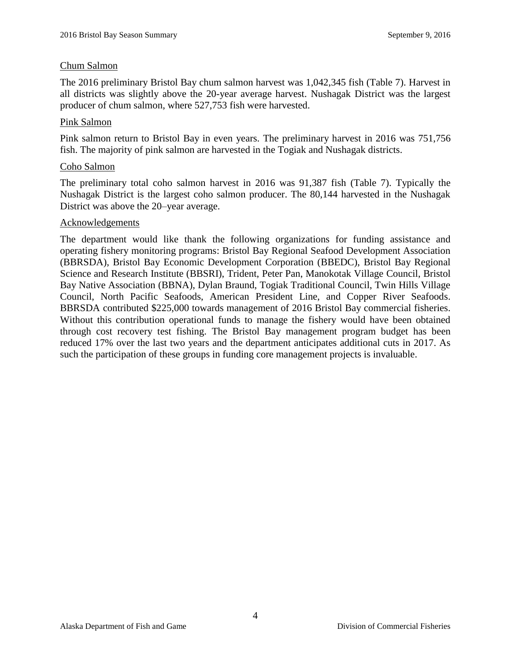#### Chum Salmon

The 2016 preliminary Bristol Bay chum salmon harvest was 1,042,345 fish (Table 7). Harvest in all districts was slightly above the 20-year average harvest. Nushagak District was the largest producer of chum salmon, where 527,753 fish were harvested.

#### Pink Salmon

Pink salmon return to Bristol Bay in even years. The preliminary harvest in 2016 was 751,756 fish. The majority of pink salmon are harvested in the Togiak and Nushagak districts.

#### Coho Salmon

The preliminary total coho salmon harvest in 2016 was 91,387 fish (Table 7). Typically the Nushagak District is the largest coho salmon producer. The 80,144 harvested in the Nushagak District was above the 20–year average.

#### Acknowledgements

The department would like thank the following organizations for funding assistance and operating fishery monitoring programs: Bristol Bay Regional Seafood Development Association (BBRSDA), Bristol Bay Economic Development Corporation (BBEDC), Bristol Bay Regional Science and Research Institute (BBSRI), Trident, Peter Pan, Manokotak Village Council, Bristol Bay Native Association (BBNA), Dylan Braund, Togiak Traditional Council, Twin Hills Village Council, North Pacific Seafoods, American President Line, and Copper River Seafoods. BBRSDA contributed \$225,000 towards management of 2016 Bristol Bay commercial fisheries. Without this contribution operational funds to manage the fishery would have been obtained through cost recovery test fishing. The Bristol Bay management program budget has been reduced 17% over the last two years and the department anticipates additional cuts in 2017. As such the participation of these groups in funding core management projects is invaluable.